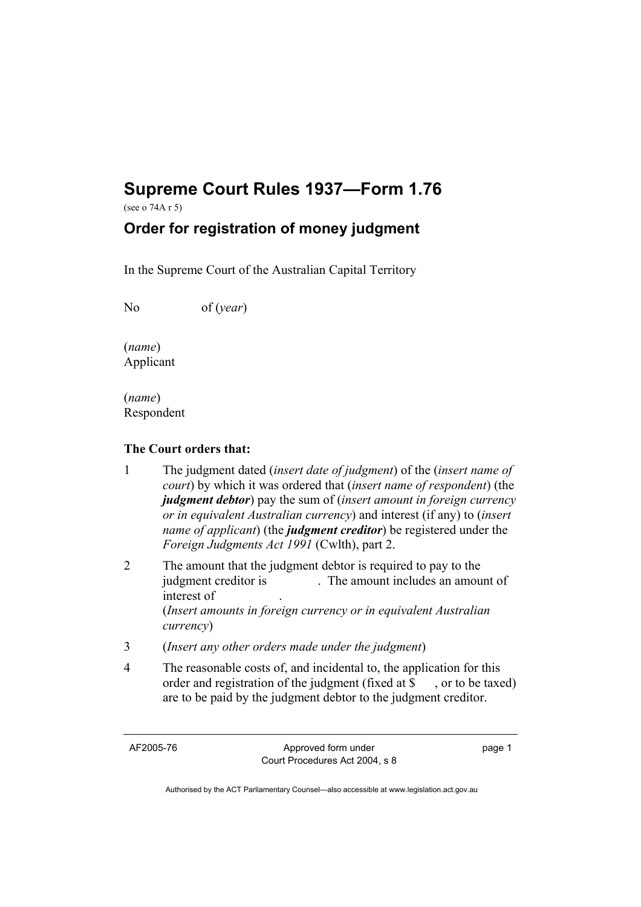## **Supreme Court Rules 1937—Form 1.76**

(see o 74A r 5)

## **Order for registration of money judgment**

In the Supreme Court of the Australian Capital Territory

No of (*year*)

(*name*) Applicant

(*name*) Respondent

## **The Court orders that:**

- 1 The judgment dated (*insert date of judgment*) of the (*insert name of court*) by which it was ordered that (*insert name of respondent*) (the *judgment debtor*) pay the sum of (*insert amount in foreign currency or in equivalent Australian currency*) and interest (if any) to (*insert name of applicant*) (the *judgment creditor*) be registered under the *Foreign Judgments Act 1991* (Cwlth), part 2.
- 2 The amount that the judgment debtor is required to pay to the judgment creditor is . The amount includes an amount of interest of . (*Insert amounts in foreign currency or in equivalent Australian currency*)
- 3 (*Insert any other orders made under the judgment*)
- 4 The reasonable costs of, and incidental to, the application for this order and registration of the judgment (fixed at \$, or to be taxed) are to be paid by the judgment debtor to the judgment creditor.

AF2005-76 Approved form under Court Procedures Act 2004, s 8 page 1

Authorised by the ACT Parliamentary Counsel—also accessible at www.legislation.act.gov.au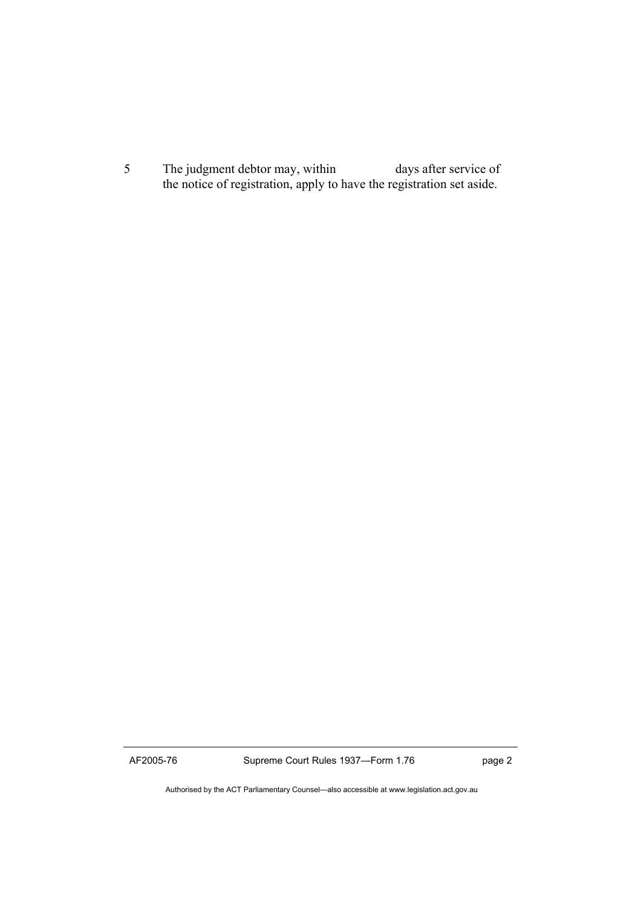5 The judgment debtor may, within days after service of the notice of registration, apply to have the registration set aside.

AF2005-76 Supreme Court Rules 1937—Form 1.76 page 2

Authorised by the ACT Parliamentary Counsel—also accessible at www.legislation.act.gov.au